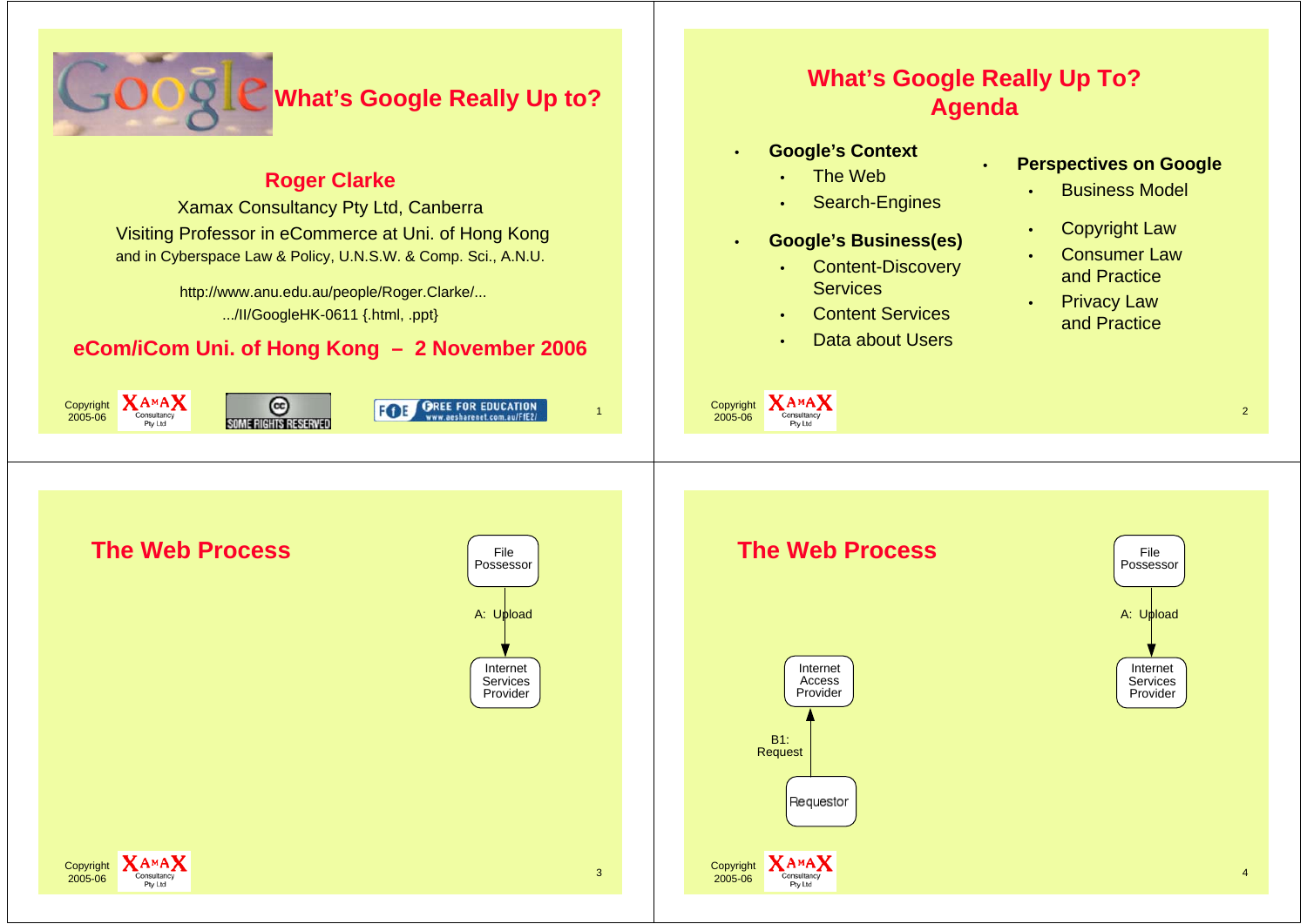

## **Roger Clarke**

Xamax Consultancy Pty Ltd, Canberra Visiting Professor in eCommerce at Uni. of Hong Kong and in Cyberspace Law & Policy, U.N.S.W. & Comp. Sci., A.N.U.

> http://www.anu.edu.au/people/Roger.Clarke/... .../II/GoogleHK-0611 {.html, .ppt}

## **eCom/iCom Uni. of Hong Kong – 2 November 2006**

 $X_A MAX$ <br>
Consultancy<br>  $\overline{S}$  FOE GREE FOR EDUCATION

Copyright 2005-06

# **What's Google Really Up To? Agenda**

•

- **Google's Context**
	- •The Web
	- •Search-Engines
- • **Google's Business(es)**
	- • Content-Discovery **Services**
	- •Content Services
	- •Data about Users

Copyright **XAMAX** 

2005-06

•

## **Perspectives on Google**

- •Business Model
- •Copyright Law
- • Consumer Law and Practice
- • Privacy Law and Practice



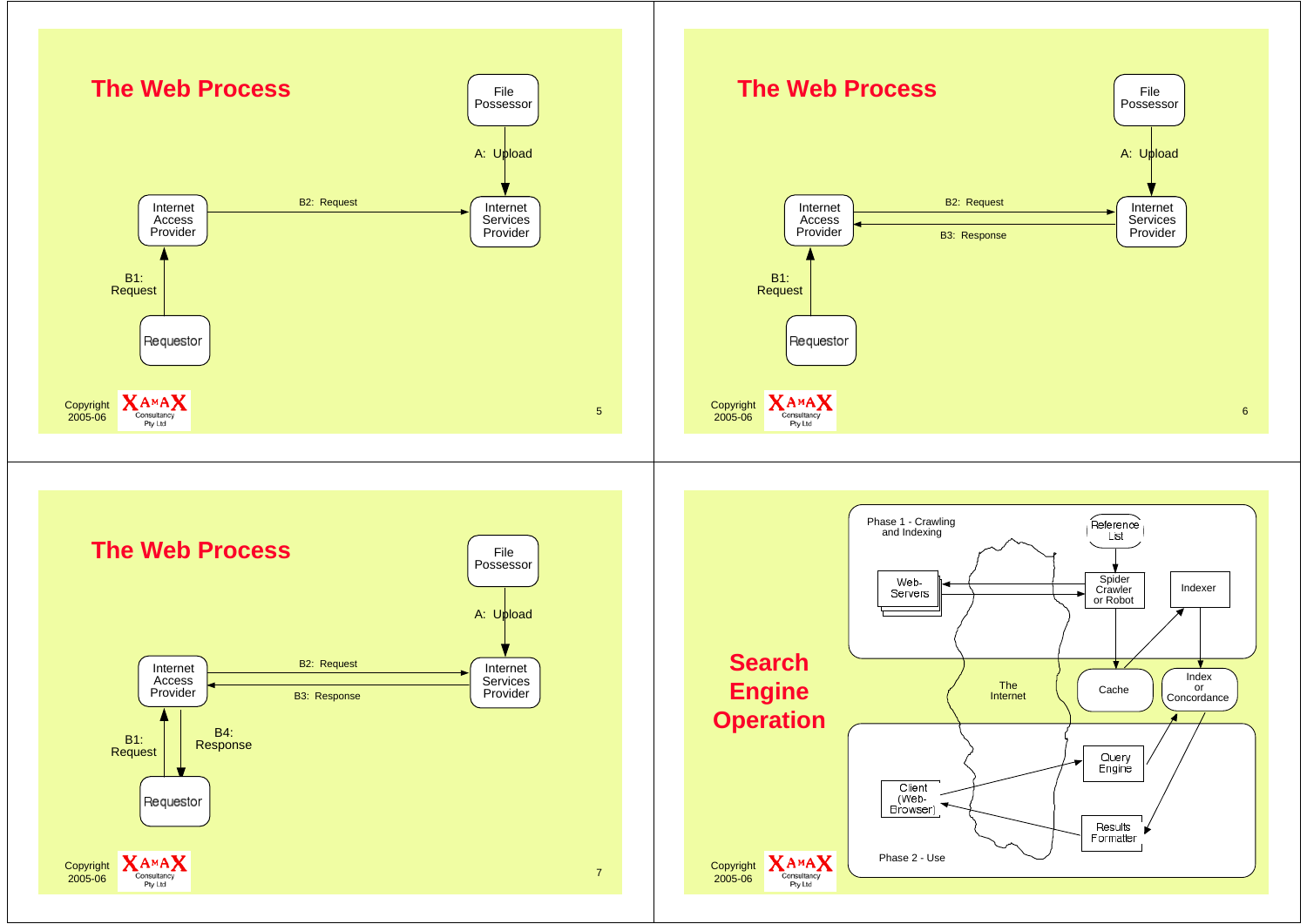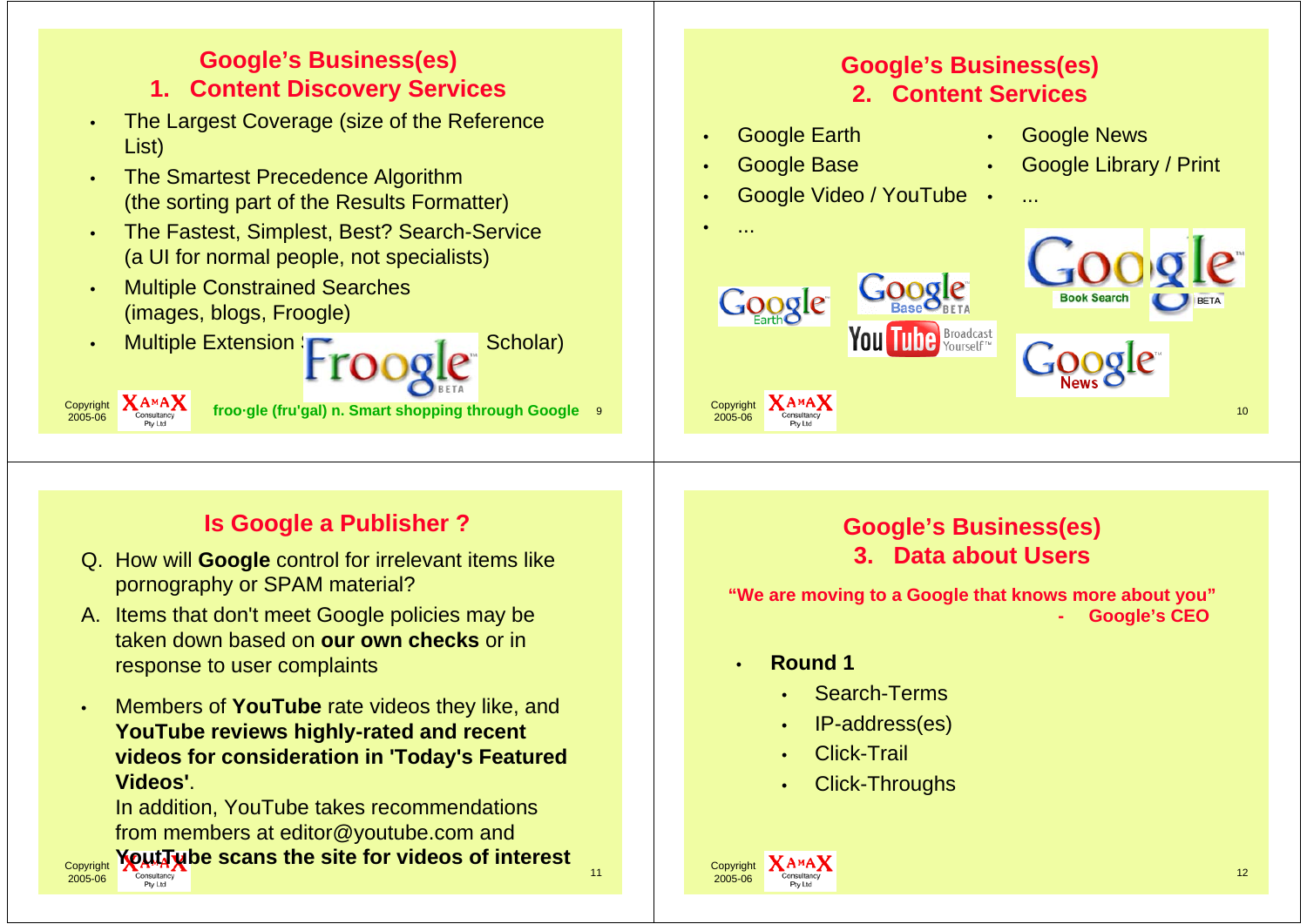#### **Google's Business(es) Google's Business(es) 1. Content Discovery Services 2. Content Services** The Largest Coverage (size of the Reference • Google Earth Google News ••List) Google Base Google Library / Print •• The Smartest Precedence Algorithm •• Google Video / YouTube • (the sorting part of the Results Formatter) ...• The Fastest, Simplest, Best? Search-Service ••...(a UI for normal people, not specialists) Multiple Constrained Searches •Google (images, blogs, Froogle) **be Broadcast** Multiple Extension  $\Gamma$  1 Scholar) •Copyright **fit Cannifical froo·gle (fru'gal) n. Smart shopping through Google** 9 and Copyright 2005-06  $\frac{10}{6}$  Consultancy  $\frac{10}{6}$ 2005-06

# **Is Google a Publisher ?**

- Q. How will **Google** control for irrelevant items like pornography or SPAM material?
- A. Items that don't meet Google policies may be taken down based on **our own checks** or in response to user complaints
- • Members of **YouTube** rate videos they like, and **YouTube reviews highly-rated and recent videos for consideration in 'Today's Featured Videos'**.

In addition, YouTube takes recommendations from members at editor@youtube.com and **YoutTube scans the site for videos of interest**



# **Google's Business(es) 3. Data about Users**

**"We are moving to a Google that knows more about you" Google's CEO**

•**Round 1**

 Copyright 2005-06

- •Search-Terms
- •IP-address(es)
- •Click-Trail
- •Click-Throughs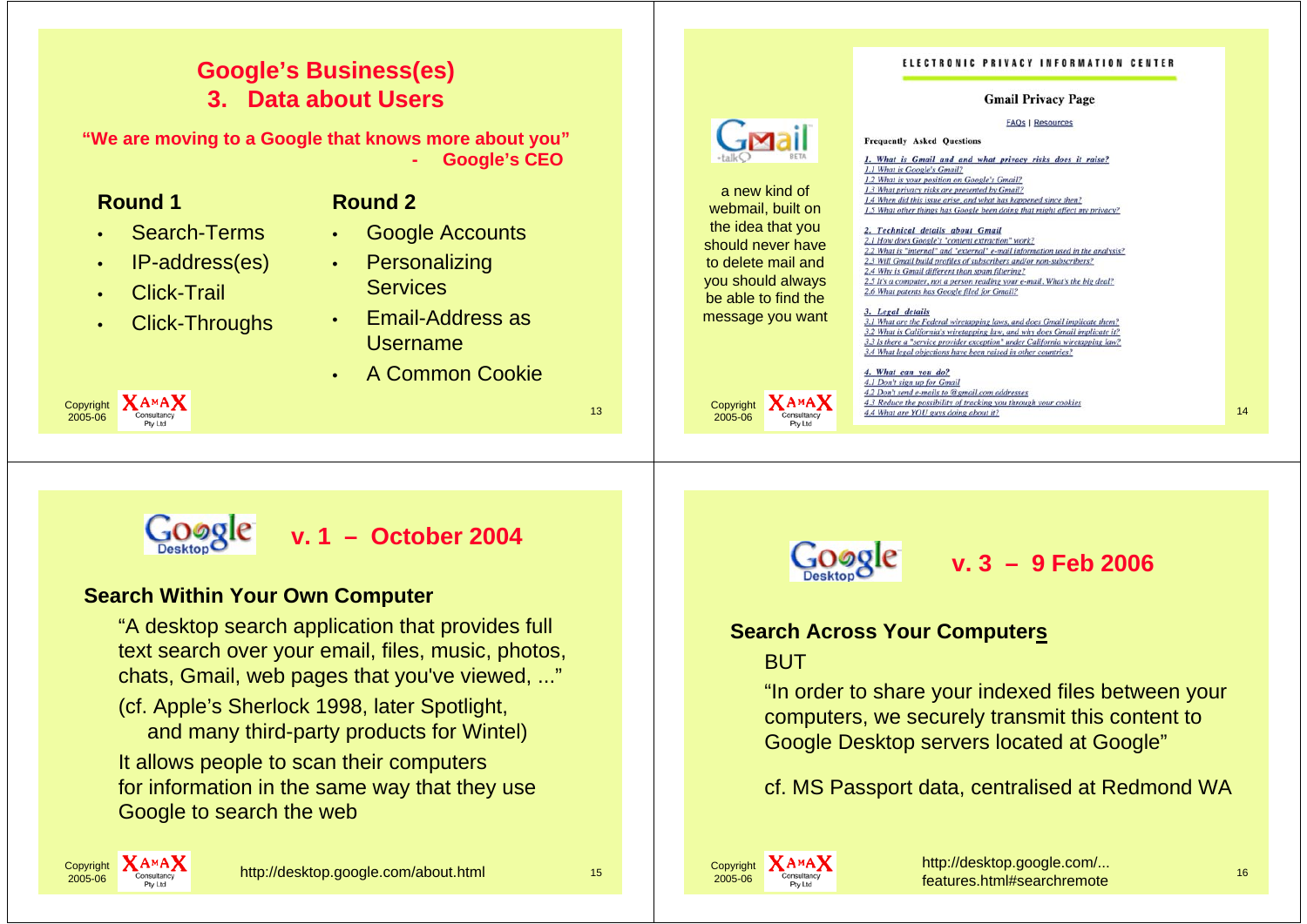#### ELECTRONIC PRIVACY INFORMATION CENTER **Google's Business(es) 3. Data about UsersGmail Privacy Page FAQs | Resources "We are moving to a Google that knows more about you" Frequently Asked Questions Google's CEO** 1. What is Gmail and and what privacy risks does it raise? **-**1.1 What is Google's Gmail? 1.2 What is your position on Google's Gmail? a new kind of 1.3 What privacy risks are presented by Gmail? **Round 1Round 2**1.4 When did this issue arise, and what has happened since then? webmail, built on 1.5 What other things has Google been doing that might affect my privacy? the idea that you Search-Terms Google Accounts 2. Technical details about Gmail ••2.1 How does Google's "content extraction" work? should never have 2.2 What is "internal" and "external" e-mail information used in the analysis? IP-address(es) **Personalizing** •to delete mail and 2.3 Will Gmail build profiles of subscribers and/or non-subscribers? •2.4 Why is Gmail different than spam filtering? you should always 2.5 It's a computer, not a person reading your e-mail. What's the big deal **Services**  Click-Trail 2.6 What patents has Google filed for Gmail? •be able to find the 3. Legal details Email-Address as message you want Click-Throughs 3.1 What are the Federal wiretapping laws, and does Gmail implicate them? ••3.2 What is California's wiretapping law, and why does Gmail implicate it? Username3.3 Is there a "service provider exception" under California wiretapping law? 3.4 What legal objections have been raised in other countries? A Common Cookie4. What can you do? •4.1 Don't sign up for Gmail 4.2 Don't send e-mails to @gmail.com addresses  $X_{\text{Conultacy}}^{\text{A M A}}$   $\frac{4.3 \text{ Reduce the possibility of tracking you through your cookies}}{4.4 \text{ What are YOU) gives doing about it?}}$  14 4.3 Reduce the possibility of tracking you through your cookies Copyright Copyright consultancy **13** 2005-062005-06**v. 1 – October 2004v. 3 – 9 Feb 2006 Search Within Your Own Computer** "A desktop search application that provides full **Search Across Your Computers** text search over your email, files, music, photos, **BUT** chats, Gmail, web pages that you've viewed, ..." "In order to share your indexed files between your (cf. Apple's Sherlock 1998, later Spotlight, computers, we securely transmit this content to and many third-party products for Wintel) Google Desktop servers located at Google"

cf. MS Passport data, centralised at Redmond WA



It allows people to scan their computers

Google to search the web

for information in the same way that they use

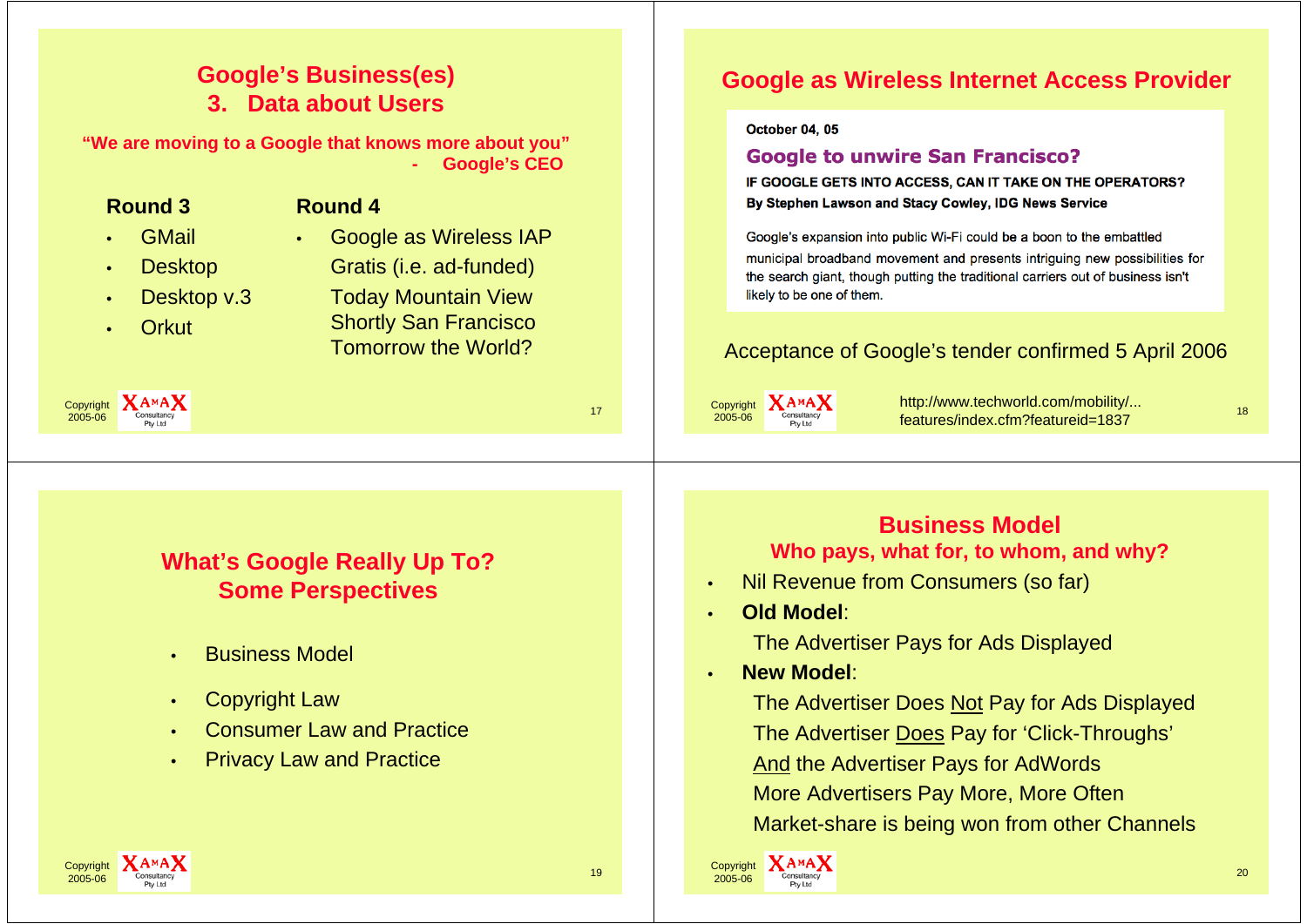# **Google's Business(es) 3. Data about Users**

**"We are moving to a Google that knows more about you" - Google's CEO**

| <b>Round 3</b><br><b>Round 4</b><br><b>GMail</b><br>Google as Wireless IAP<br>$\bullet$<br><b>Desktop</b><br>Gratis (i.e. ad-funded)<br>$\bullet$<br>Desktop v.3<br><b>Today Mountain View</b><br>$\bullet$<br><b>Shortly San Francisco</b><br><b>Orkut</b><br><b>Tomorrow the World?</b><br><b>XAMAX</b><br>Copyright<br>17<br>2005-06<br>Pty Ltc | IF GOOGLE GETS INTO ACCESS, CAN IT TAKE ON THE OPERATORS?<br>By Stephen Lawson and Stacy Cowley, IDG News Service<br>Google's expansion into public Wi-Fi could be a boon to the embattled<br>municipal broadband movement and presents intriguing new possibilities for<br>the search giant, though putting the traditional carriers out of business isn't<br>likely to be one of them.<br>Acceptance of Google's tender confirmed 5 April 2006<br>http://www.techworld.com/mobility/<br><b>XAMAX</b><br>Copyright<br>18<br>2005-06<br>features/index.cfm?featureid=1837 |
|----------------------------------------------------------------------------------------------------------------------------------------------------------------------------------------------------------------------------------------------------------------------------------------------------------------------------------------------------|---------------------------------------------------------------------------------------------------------------------------------------------------------------------------------------------------------------------------------------------------------------------------------------------------------------------------------------------------------------------------------------------------------------------------------------------------------------------------------------------------------------------------------------------------------------------------|
| <b>What's Google Really Up To?</b><br><b>Some Perspectives</b><br><b>Business Model</b><br>$\bullet$<br><b>Copyright Law</b><br>$\bullet$<br><b>Consumer Law and Practice</b><br><b>Privacy Law and Practice</b><br>$\bullet$                                                                                                                      | <b>Business Model</b><br>Who pays, what for, to whom, and why?<br>Nil Revenue from Consumers (so far)<br>$\bullet$<br><b>Old Model:</b><br>$\bullet$<br>The Advertiser Pays for Ads Displayed<br><b>New Model:</b><br>$\bullet$<br>The Advertiser Does Not Pay for Ads Displayed<br>The Advertiser Does Pay for 'Click-Throughs'<br><b>And the Advertiser Pays for AdWords</b><br>More Advertisers Pay More, More Often<br>Market-share is being won from other Channels                                                                                                  |
| Copyright <b>XAMAX</b><br>19<br>2005-06                                                                                                                                                                                                                                                                                                            | Copyright <b>XAMAX</b><br>20<br>2005-06                                                                                                                                                                                                                                                                                                                                                                                                                                                                                                                                   |

#### $\text{Copyright} \begin{array}{|c|c|c|}\hline \text{Copyright} & \textbf{A}^{\textbf{A}\textbf{M}}\textbf{A} & \text{19} & \text{19} \ \hline \text{2005-06} & \text{19} & \text{19} \ \hline \end{array}$ 2005-06

 $-1 - 2 - 1$ 

**Google as Wireless Internet Access Provider**

**Google to unwire San Francisco?** 

October 04, 05

2005-06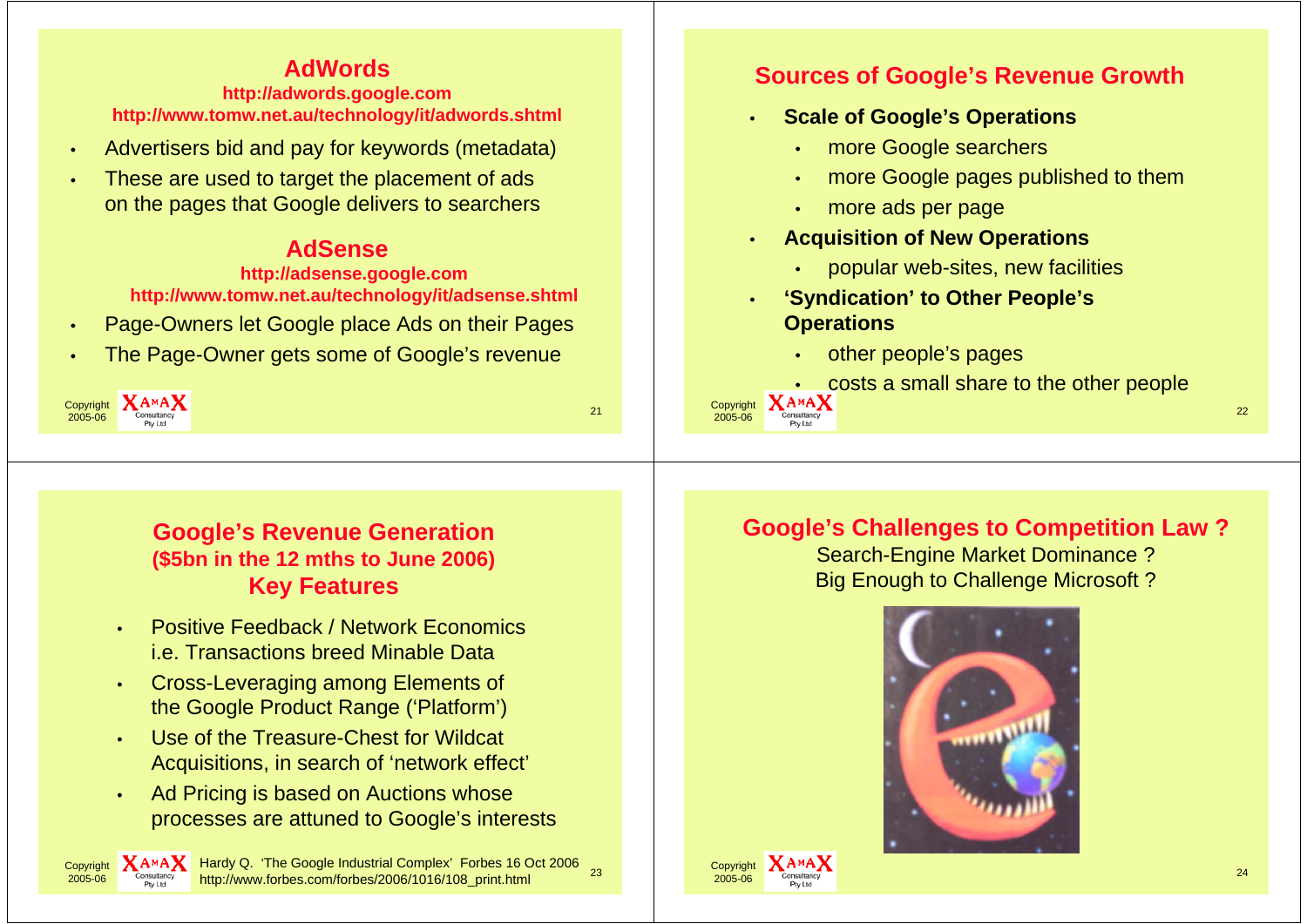# **AdWords**

#### **http://adwords.google.com http://www.tomw.net.au/technology/it/adwords.shtml**

- •Advertisers bid and pay for keywords (metadata)
- • These are used to target the placement of ads on the pages that Google delivers to searchers

## **AdSense**

**http://adsense.google.com http://www.tomw.net.au/technology/it/adsense.shtml**

- •Page-Owners let Google place Ads on their Pages
- •The Page-Owner gets some of Google's revenue

| Copyright <b>XAMAX</b><br>Consultancy<br>Pty Ltd |  |
|--------------------------------------------------|--|
|--------------------------------------------------|--|

**Copyright** 2005-06

# **Sources of Google's Revenue Growth**

- **Scale of Google's Operations**
	- more Google searchers
	- •more Google pages published to them
	- •more ads per page
- • **Acquisition of New Operations**
	- popular web-sites, new facilities
- • **'Syndication' to Other People's Operations**
	- other people's pages
	- costs a small share to the other people

 $\frac{1}{6}$  Consultancy 22

## **Google's Revenue Generation (\$5bn in the 12 mths to June 2006) Key Features**

- • Positive Feedback / Network Economicsi.e. Transactions breed Minable Data
- • Cross-Leveraging among Elements of the Google Product Range ('Platform')
- • Use of the Treasure-Chest for Wildcat Acquisitions, in search of 'network effect'
- • Ad Pricing is based on Auctions whose processes are attuned to Google's interests

ht  $\sum_{c_{\text{const}}}\text{A}$  MA $\sum_{c_{\text{const}}}\text{Hardy Q.}$  'The Google Industrial Complex' Forbes 16 Oct 2006 23 http://www.forbes.com/forbes/2006/1016/108\_print.html

# **Google's Challenges to Competition Law ?**

Search-Engine Market Dominance ? Big Enough to Challenge Microsoft ?



**Copyright** 2005-06

•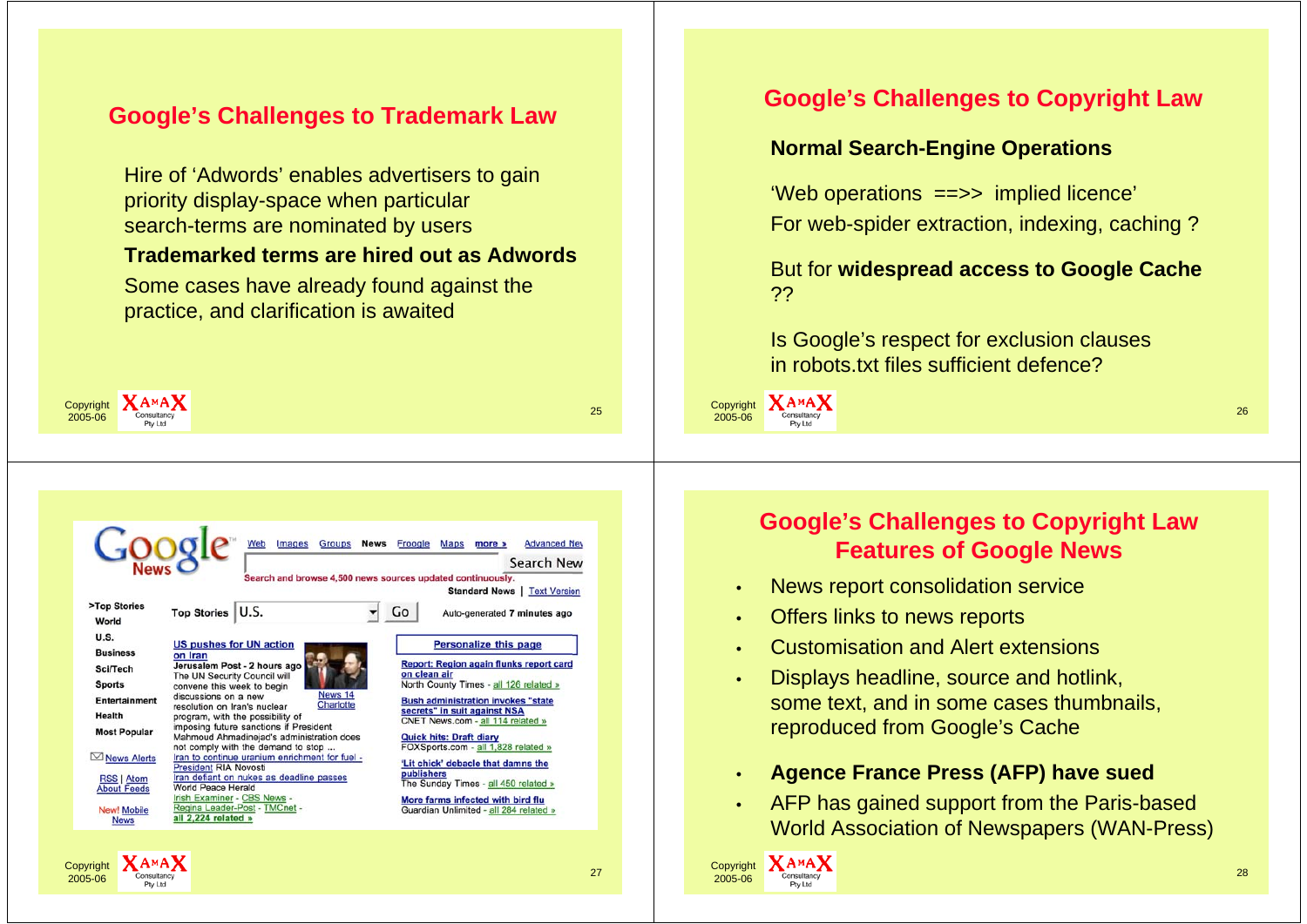## **Google's Challenges to Trademark Law**

Hire of 'Adwords' enables advertisers to gain priority display-space when particular search-terms are nominated by users

## **Trademarked terms are hired out as Adwords**

Some cases have already found against the practice, and clarification is awaited

| <b>X</b> AMA X<br>Copyright<br>Consultancy<br>2005-06<br>Pty Ltd |                                                                                                                      |                                                                                                                                                       |
|------------------------------------------------------------------|----------------------------------------------------------------------------------------------------------------------|-------------------------------------------------------------------------------------------------------------------------------------------------------|
|                                                                  |                                                                                                                      |                                                                                                                                                       |
|                                                                  | <b>Groups</b><br><b>News</b><br>Web<br>Images                                                                        | Froogle Maps more »<br><b>Advanced Nev</b>                                                                                                            |
| >Top Stories<br>World                                            | Top Stories   U.S.                                                                                                   | Search New<br>Search and browse 4,500 news sources updated continuously.<br><b>Standard News   Text Version</b><br>Go<br>Auto-generated 7 minutes ago |
| <b>U.S.</b><br><b>Business</b>                                   | <b>US pushes for UN action</b><br>on Iran                                                                            | <b>Personalize this page</b>                                                                                                                          |
| Sci/Tech                                                         | Jerusalem Post - 2 hours ago<br>The UN Security Council will                                                         | Report: Region again flunks report card<br>on clean air                                                                                               |
| <b>Sports</b><br><b>Entertainment</b>                            | convene this week to begin<br>News 14<br>discussions on a new                                                        | North County Times - all 126 related »<br><b>Bush administration invokes "state</b>                                                                   |
| Health                                                           | Charlotte<br>resolution on Iran's nuclear<br>program, with the possibility of                                        | secrets" in suit against NSA                                                                                                                          |
| <b>Most Popular</b>                                              | imposing future sanctions if President<br>Mahmoud Ahmadinejad's administration does                                  | CNET News.com - all 114 related »<br><b>Quick hits: Draft diary</b>                                                                                   |
| $\boxdot$ News Alerts                                            | not comply with the demand to stop<br>Iran to continue uranium enrichment for fuel -<br><b>President RIA Novosti</b> | FOXSports.com - all 1,828 related »<br>'Lit chick' debacle that damns the                                                                             |
| <b>RSS   Atom</b>                                                | Iran defiant on nukes as deadline passes<br>World Peace Herald                                                       | publishers<br>The Sunday Times - all 450 related »                                                                                                    |
| <b>About Feeds</b><br>New! Mobile<br><b>News</b>                 | Irish Examiner - CBS News -<br>Regina Leader-Post - TMCnet -<br>all 2.224 related »                                  | More farms infected with bird flu<br>Guardian Unlimited - all 284 related »                                                                           |

## **Google's Challenges to Copyright Law**

## **Normal Search-Engine Operations**

'Web operations ==>> implied licence' For web-spider extraction, indexing, caching ?

But for **widespread access to Google Cache**  ??

Is Google's respect for exclusion clauses in robots.txt files sufficient defence?

Copyright 2005-06 <sup>26</sup>

**Google's Challenges to Copyright Law Features of Google News**

- •News report consolidation service
- •Offers links to news reports
- •Customisation and Alert extensions
- • Displays headline, source and hotlink, some text, and in some cases thumbnails, reproduced from Google's Cache
- •**Agence France Press (AFP) have sued**
- •AFP has gained support from the Paris-based World Association of Newspapers (WAN-Press)

Copyright 2005-06

ht  $\lambda_{\text{Consultancy}}$  and the consultancy of  $\lambda_{\text{Cons-1dec}}$  and  $\lambda_{\text{Cons-1dec}}$  and  $\lambda_{\text{Cons-1dec}}$   $\lambda_{\text{Cons-1dec}}$  and  $\lambda_{\text{Cons-1dec}}$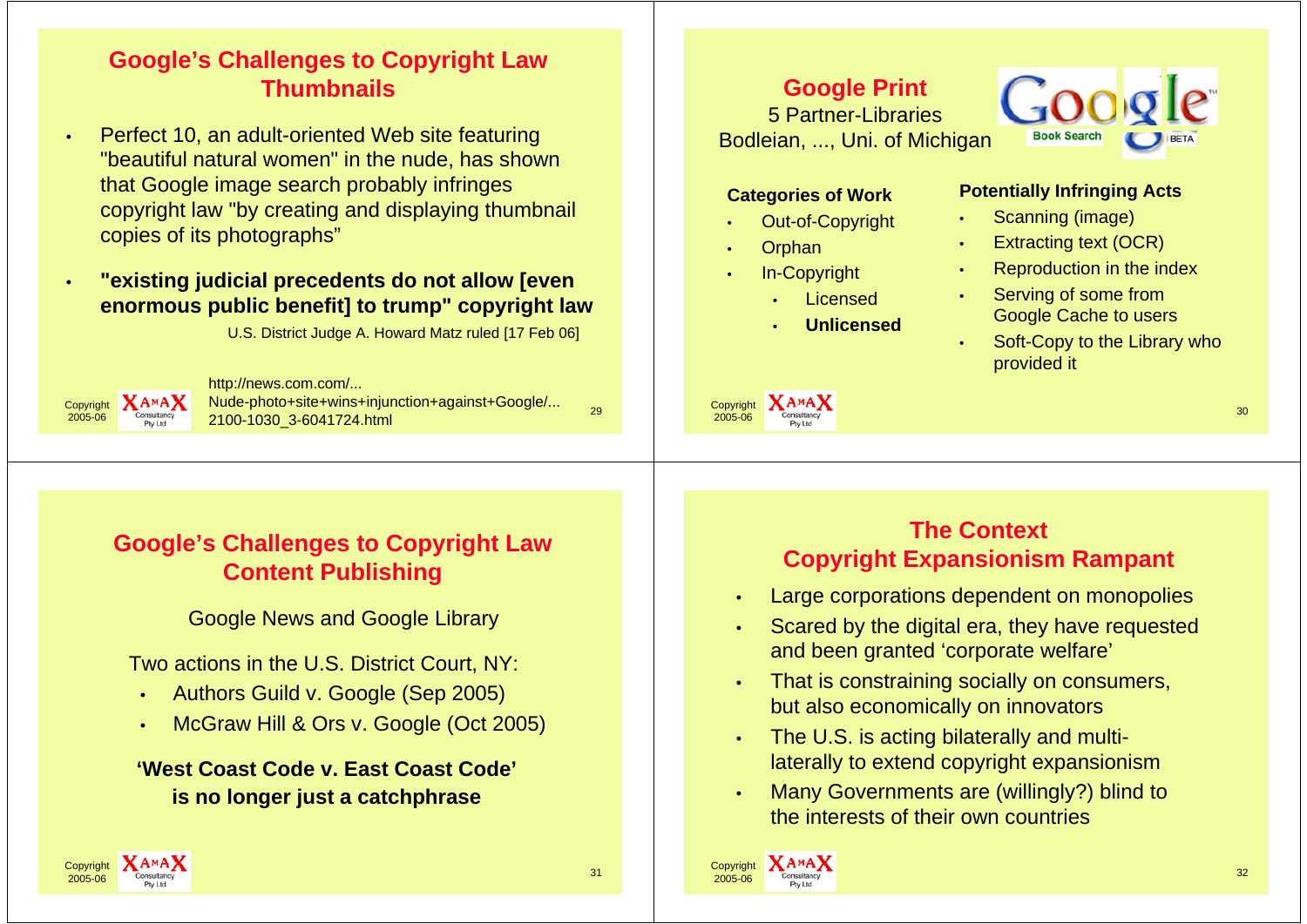# **Google's Challenges to Copyright Law Thumbnails**

 Perfect 10, an adult-oriented Web site featuring "beautiful natural women" in the nude, has shown that Google image search probably infringes copyright law "by creating and displaying thumbnail copies of its photographs"

## **"existing judicial precedents do not allow [even enormous public benefit] to trump" copyright law**

U.S. District Judge A. Howard Matz ruled [17 Feb 06]



•

•

 $\frac{1}{6}$   $\frac{1}{2}$   $\frac{1}{2}$   $\frac{2100-1030}{2}$   $\frac{3-6041724 \text{.html}}{29}$ http://news.com.com/... Nude-photo+site+wins+injunction+against+Google/...

## **Google Print**

5 Partner-LibrariesBodleian, ..., Uni. of Michigan



#### **Categories of Work**

- •Out-of-Copyright
- •**Orphan**

Copyright 2005-06

•

- In-Copyright
	- •Licensed
	- •**Unlicensed**

## **Potentially Infringing Acts**

- •Scanning (image)
- •Extracting text (OCR)
- •Reproduction in the index
- • Serving of some from Google Cache to users
- • Soft-Copy to the Library who provided it

**Google's Challenges to Copyright Law Content Publishing**

Google News and Google Library

Two actions in the U.S. District Court, NY:

- •Authors Guild v. Google (Sep 2005)
- •McGraw Hill & Ors v. Google (Oct 2005)

**'West Coast Code v. East Coast Code'is no longer just a catchphrase**

## **The ContextCopyright Expansionism Rampant**

 $\frac{1}{6}$  Consultancy  $\frac{30}{6}$ 

- •Large corporations dependent on monopolies
- • Scared by the digital era, they have requested and been granted 'corporate welfare'
- • That is constraining socially on consumers, but also economically on innovators
- • The U.S. is acting bilaterally and multilaterally to extend copyright expansionism
- • Many Governments are (willingly?) blind to the interests of their own countries



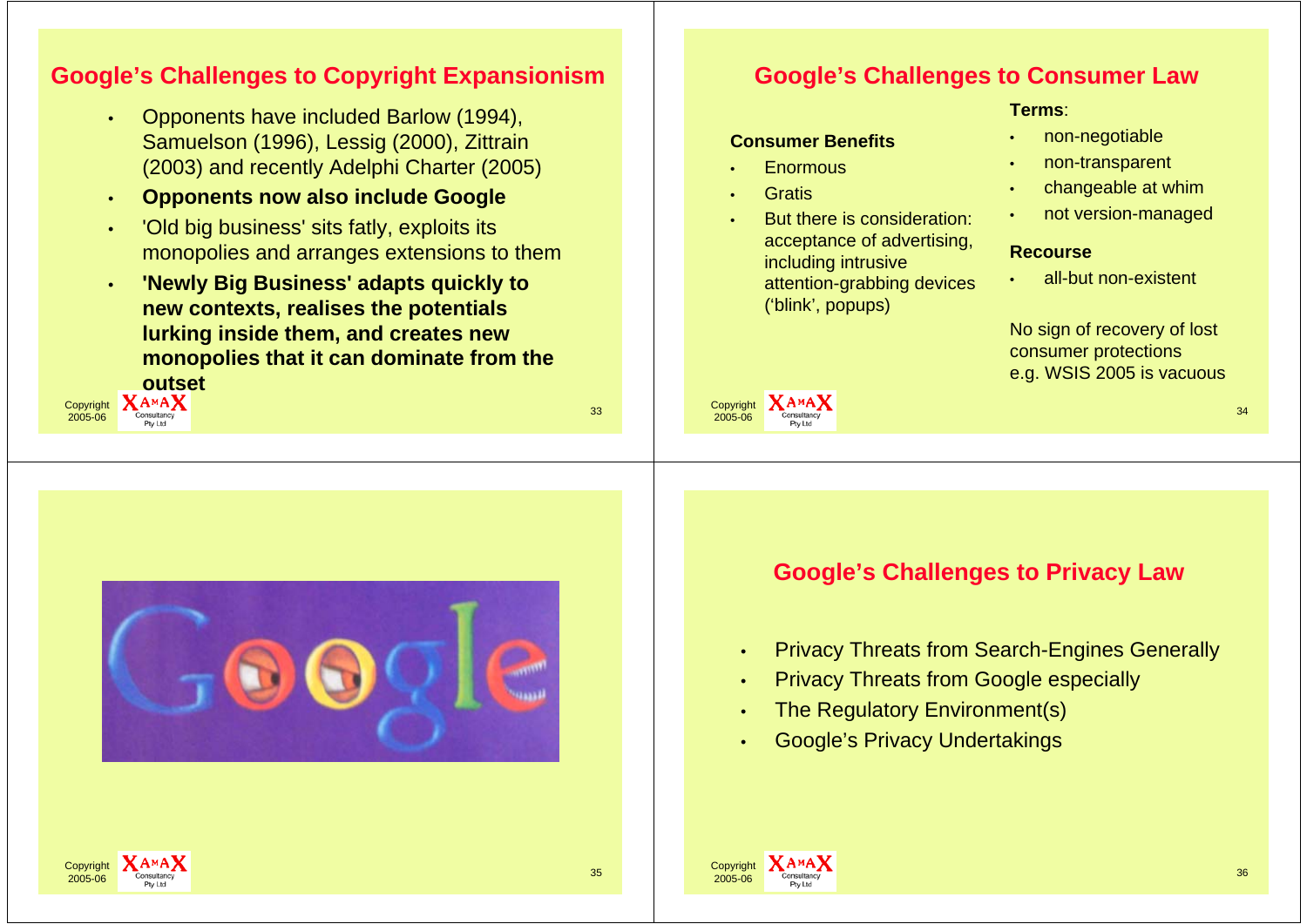## **Google's Challenges to Copyright Expansionism**

- • Opponents have included Barlow (1994), Samuelson (1996), Lessig (2000), Zittrain (2003) and recently Adelphi Charter (2005)
- •**Opponents now also include Google**
- • 'Old big business' sits fatly, exploits its monopolies and arranges extensions to them
- • **'Newly Big Business' adapts quickly to new contexts, realises the potentials lurking inside them, and creates new monopolies that it can dominate from the**





## **Google's Challenges to Consumer Law**

#### **Terms**:

•

## **Consumer Benefits**

- •**Enormous**
- •**Gratis**

Copyright 2005-06

 But there is consideration: acceptance of advertising, including intrusive attention-grabbing devices ('blink', popups)

- non-negotiable
- •non-transparent
- •changeable at whim
- •not version-managed

### **Recourse**

•all-but non-existent

No sign of recovery of lost consumer protections e.g. WSIS 2005 is vacuous

**Google's Challenges to Privacy Law**

 $\frac{1}{6}$  Consultancy  $\frac{34}{6}$ 

- •Privacy Threats from Search-Engines Generally
- •Privacy Threats from Google especially
- •The Regulatory Environment(s)
- •Google's Privacy Undertakings



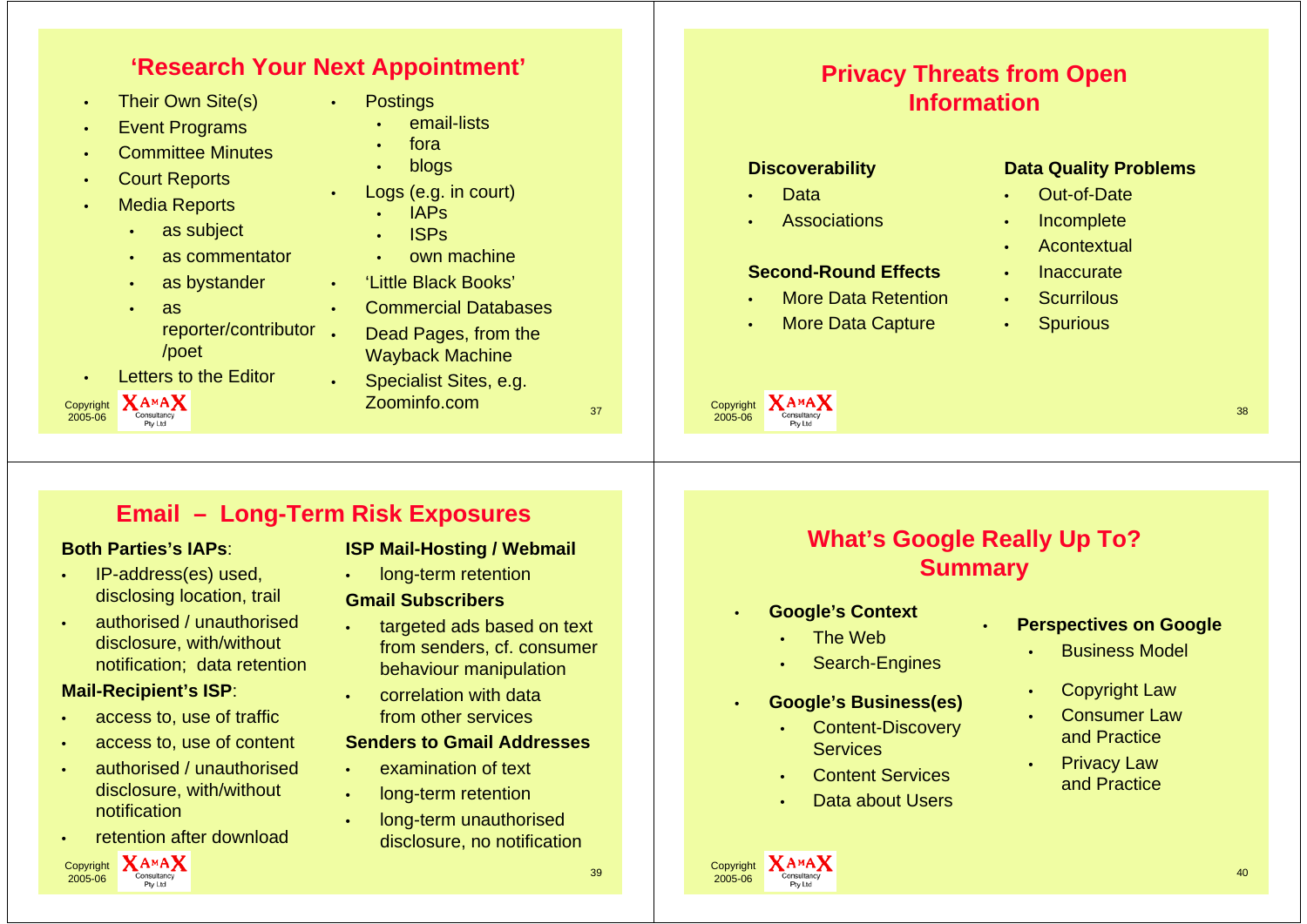## **'Research Your Next Appointment'**

•

•

- •Their Own Site(s)
- •Event Programs
- •Committee Minutes
- •Court Reports
- • Media Reports
	- •as subject
	- •as commentator
	- •as bystander
	- • as reporter/contributor •/poet
- •Letters to the Editor



- **Postings** 
	- •email-lists
	- •fora
	- •blogs
- Logs (e.g. in court)
	- •IAPs
	- •ISPs
	- •own machine
- •'Little Black Books'
- Commercial Databases
- Dead Pages, from the Wayback Machine
- $X_{\text{Constitacy}}$ <br> $X_{\text{Constitacy}}$   $\overline{Z}$   $\overline{Q}$   $\overline{Q}$   $\overline{Q}$   $\overline{Q}$   $\overline{Q}$   $\overline{Q}$   $\overline{Q}$   $\overline{Q}$   $\overline{Q}$   $\overline{Q}$   $\overline{Q}$   $\overline{Q}$   $\overline{Q}$   $\overline{Q}$   $\overline{Q}$   $\overline{Q}$   $\overline{Q}$   $\overline{Q}$   $\overline{Q}$   $\overline{Q}$   $\overline{Q}$  Specialist Sites, e.g. Zoominfo.com

## **Privacy Threats from Open Information**

### **Discoverability**

•Data

•

•

•

 Copyright 2005-06

**Associations** 

## **Second-Round Effects**

- More Data Retention
- More Data Capture

### **Data Quality Problems**

- •Out-of-Date
- •Incomplete
- •**Acontextual**
- •Inaccurate
- •**Scurrilous**
- •**Spurious**

 $\frac{1}{6}$  Consultancy 38

# **Email – Long-Term Risk Exposures**

•

#### **Both Parties's IAPs**:

- • IP-address(es) used, disclosing location, trail
- • authorised / unauthorised disclosure, with/without notification; data retention

#### **Mail-Recipient's ISP**:

- •access to, use of traffic
- •access to, use of content
- • authorised / unauthorised disclosure, with/without notification
- •retention after download



## **ISP Mail-Hosting / Webmail**

•long-term retention

#### **Gmail Subscribers**

- • targeted ads based on text from senders, cf. consumer behaviour manipulation
- • correlation with data from other services

#### **Senders to Gmail Addresses**

- •examination of text
- • long-term retention
	- long-term unauthorised disclosure, no notification

# **What's Google Really Up To? Summary**

•

- • **Google's Context**
	- The Web
	- •Search-Engines

## **Google's Business(es)**

- •**Services**
- •Content Services
- •• Data about Users

#### **Perspectives on Google**

- •Business Model
- Copyright Law
- • Consumer Law and Practice
- • Privacy Law and Practice



Copyright 2005-06

•

Content-Discovery

- 
- 
-